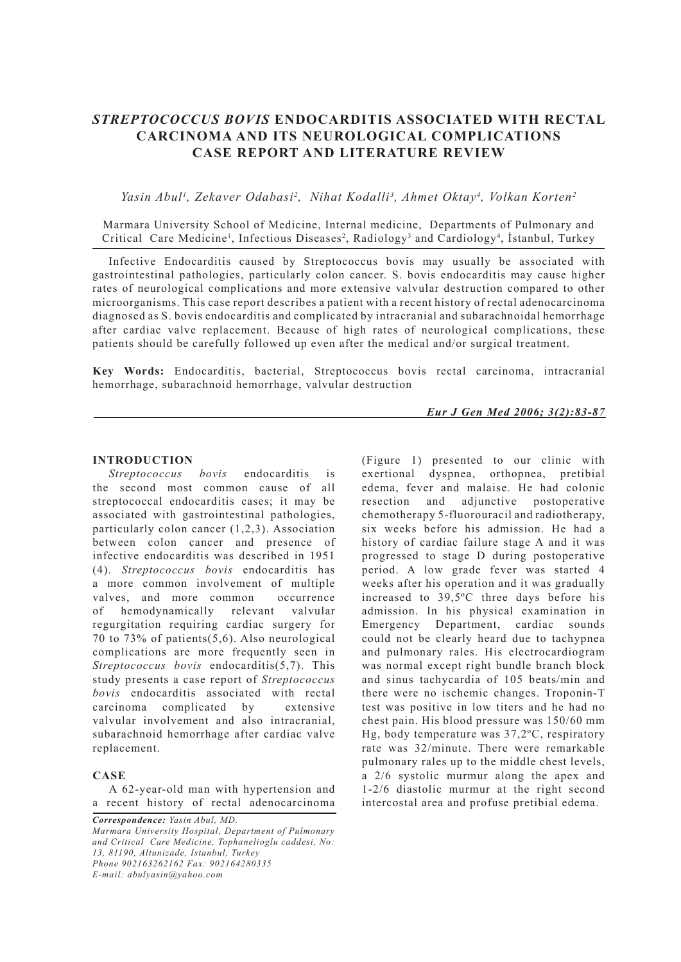# *STREPTOCOCCUS BOVIS* **ENDOCARDITIS ASSOCIATED WITH RECTAL CARCINOMA AND ITS NEUROLOGICAL COMPLICATIONS CASE REPORT AND LITERATURE REVIEW**

Yasin Abul<sup>1</sup>, Zekaver Odabasi<sup>2</sup>, Nihat Kodalli<sup>3</sup>, Ahmet Oktay<sup>4</sup>, Volkan Korten<sup>2</sup>

Marmara University School of Medicine, Internal medicine, Departments of Pulmonary and Critical Care Medicine<sup>1</sup>, Infectious Diseases<sup>2</sup>, Radiology<sup>3</sup> and Cardiology<sup>4</sup>, Istanbul, Turkey

Infective Endocarditis caused by Streptococcus bovis may usually be associated with gastrointestinal pathologies, particularly colon cancer. S. bovis endocarditis may cause higher rates of neurological complications and more extensive valvular destruction compared to other microorganisms. This case report describes a patient with a recent history of rectal adenocarcinoma diagnosed as S. bovis endocarditis and complicated by intracranial and subarachnoidal hemorrhage after cardiac valve replacement. Because of high rates of neurological complications, these patients should be carefully followed up even after the medical and/or surgical treatment.

**Key Words:** Endocarditis, bacterial, Streptococcus bovis rectal carcinoma, intracranial hemorrhage, subarachnoid hemorrhage, valvular destruction

*Eur J Gen Med 2006; 3(2):83-87*

#### **INTRODUCTION**

*Streptococcus bovis* endocarditis is the second most common cause of all streptococcal endocarditis cases; it may be associated with gastrointestinal pathologies, particularly colon cancer (1,2,3). Association between colon cancer and presence of infective endocarditis was described in 1951 (4). *Streptococcus bovis* endocarditis has a more common involvement of multiple valves, and more common occurrence of hemodynamically relevant valvular regurgitation requiring cardiac surgery for 70 to 73% of patients(5,6). Also neurological complications are more frequently seen in *Streptococcus bovis* endocarditis(5,7). This study presents a case report of *Streptococcus bovis* endocarditis associated with rectal carcinoma complicated by extensive valvular involvement and also intracranial, subarachnoid hemorrhage after cardiac valve replacement.

#### **CASE**

A 62-year-old man with hypertension and a recent history of rectal adenocarcinoma

*Correspondence: Yasin Abul, MD. Marmara University Hospital, Department of Pulmonary and Critical Care Medicine, Tophanelioglu caddesi, No: 13, 81190, Altunizade, Istanbul, Turkey Phone 902163262162 Fax: 902164280335 E-mail: abulyasin@yahoo.com*

(Figure 1) presented to our clinic with exertional dyspnea, orthopnea, pretibial edema, fever and malaise. He had colonic resection and adjunctive postoperative chemotherapy 5-fluorouracil and radiotherapy, six weeks before his admission. He had a history of cardiac failure stage A and it was progressed to stage D during postoperative period. A low grade fever was started 4 weeks after his operation and it was gradually increased to 39,5ºC three days before his admission. In his physical examination in Emergency Department, cardiac sounds could not be clearly heard due to tachypnea and pulmonary rales. His electrocardiogram was normal except right bundle branch block and sinus tachycardia of 105 beats/min and there were no ischemic changes. Troponin-T test was positive in low titers and he had no chest pain. His blood pressure was 150/60 mm Hg, body temperature was 37,2ºC, respiratory rate was 32/minute. There were remarkable pulmonary rales up to the middle chest levels, a 2/6 systolic murmur along the apex and 1-2/6 diastolic murmur at the right second intercostal area and profuse pretibial edema.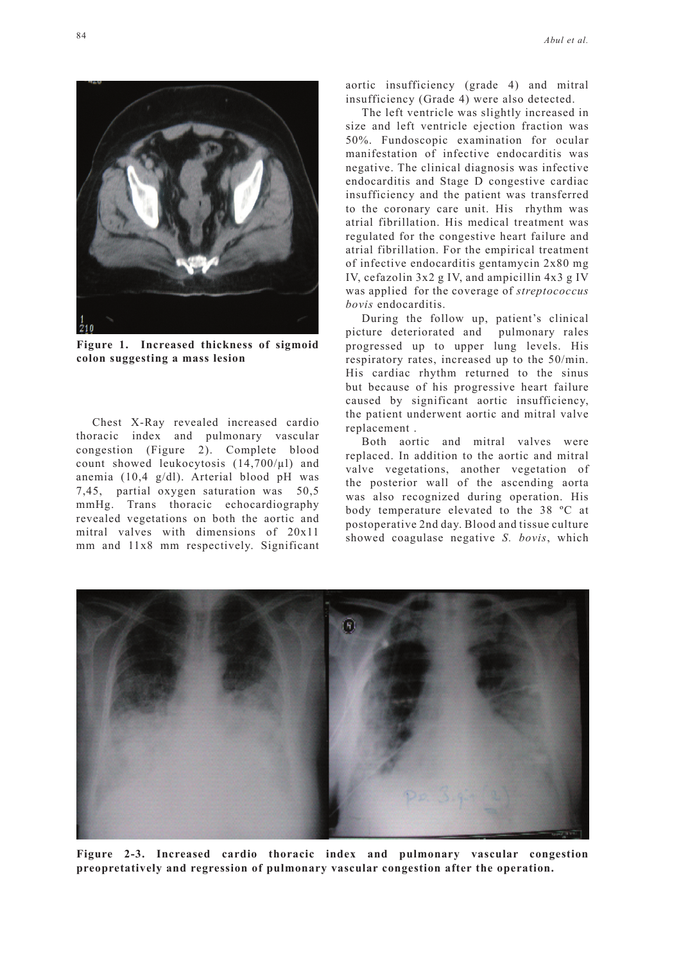aortic insufficiency (grade 4) and mitral insufficiency (Grade 4) were also detected.

The left ventricle was slightly increased in size and left ventricle ejection fraction was 50%. Fundoscopic examination for ocular manifestation of infective endocarditis was negative. The clinical diagnosis was infective endocarditis and Stage D congestive cardiac insufficiency and the patient was transferred to the coronary care unit. His rhythm was atrial fibrillation. His medical treatment was regulated for the congestive heart failure and atrial fibrillation. For the empirical treatment of infective endocarditis gentamycin 2x80 mg IV, cefazolin 3x2 g IV, and ampicillin 4x3 g IV was applied for the coverage of *streptococcus bovis* endocarditis.

During the follow up, patient's clinical picture deteriorated and pulmonary rales progressed up to upper lung levels. His respiratory rates, increased up to the 50/min. His cardiac rhythm returned to the sinus but because of his progressive heart failure caused by significant aortic insufficiency, the patient underwent aortic and mitral valve replacement .

Both aortic and mitral valves were replaced. In addition to the aortic and mitral valve vegetations, another vegetation of the posterior wall of the ascending aorta was also recognized during operation. His body temperature elevated to the 38 ºC at postoperative 2nd day. Blood and tissue culture showed coagulase negative *S. bovis*, which

**Figure 2-3. Increased cardio thoracic index and pulmonary vascular congestion preopretatively and regression of pulmonary vascular congestion after the operation.**



**Figure 1. Increased thickness of sigmoid colon suggesting a mass lesion**

Chest X-Ray revealed increased cardio thoracic index and pulmonary vascular congestion (Figure 2). Complete blood count showed leukocytosis  $(14,700/\mu l)$  and anemia (10,4 g/dl). Arterial blood pH was 7,45, partial oxygen saturation was 50,5 mmHg. Trans thoracic echocardiography revealed vegetations on both the aortic and mitral valves with dimensions of 20x11 mm and 11x8 mm respectively. Significant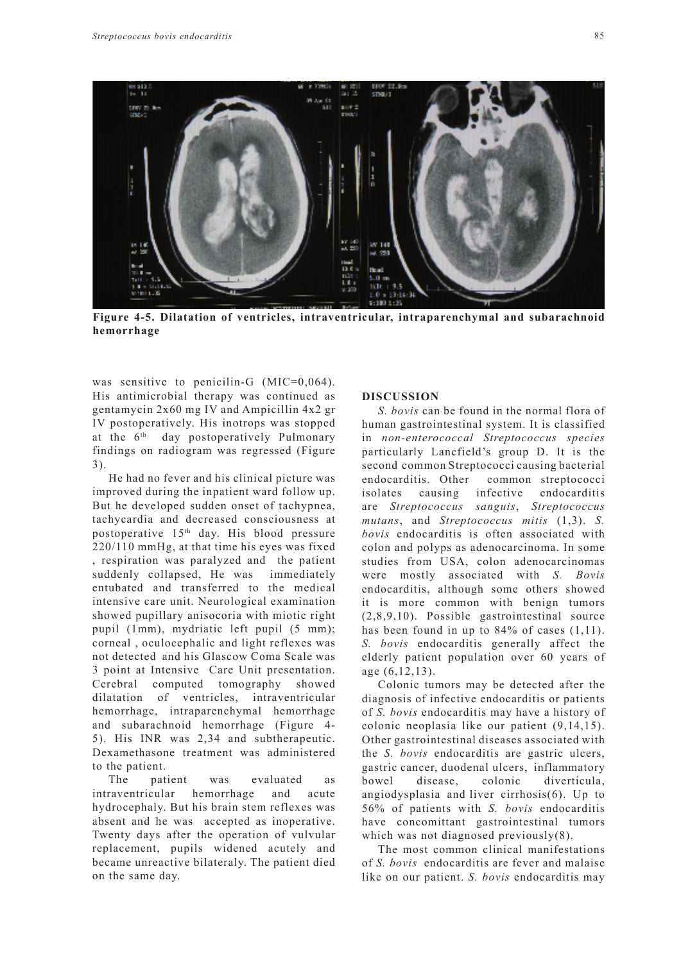

**Figure 4-5. Dilatation of ventricles, intraventricular, intraparenchymal and subarachnoid hemorrhage**

was sensitive to penicilin-G (MIC=0,064). His antimicrobial therapy was continued as gentamycin 2x60 mg IV and Ampicillin 4x2 gr IV postoperatively. His inotrops was stopped at the 6<sup>th</sup> day postoperatively Pulmonary findings on radiogram was regressed (Figure 3).

He had no fever and his clinical picture was improved during the inpatient ward follow up. But he developed sudden onset of tachypnea, tachycardia and decreased consciousness at postoperative 15th day. His blood pressure 220/110 mmHg, at that time his eyes was fixed , respiration was paralyzed and the patient suddenly collapsed, He was immediately entubated and transferred to the medical intensive care unit. Neurological examination showed pupillary anisocoria with miotic right pupil (1mm), mydriatic left pupil (5 mm); corneal , oculocephalic and light reflexes was not detected and his Glascow Coma Scale was 3 point at Intensive Care Unit presentation. Cerebral computed tomography showed dilatation of ventricles, intraventricular hemorrhage, intraparenchymal hemorrhage and subarachnoid hemorrhage (Figure 4- 5). His INR was 2,34 and subtherapeutic. Dexamethasone treatment was administered to the patient.

The patient was evaluated as intraventricular hemorrhage and acute hydrocephaly. But his brain stem reflexes was absent and he was accepted as inoperative. Twenty days after the operation of vulvular replacement, pupils widened acutely and became unreactive bilateraly. The patient died on the same day.

### **DISCUSSION**

*S. bovis* can be found in the normal flora of human gastrointestinal system. It is classified in *non-enterococcal Streptococcus species*  particularly Lancfield's group D. It is the second common Streptococci causing bacterial endocarditis. Other common streptococci isolates causing infective endocarditis are *Streptococcus sanguis*, *Streptococcus mutans*, and *Streptococcus mitis* (1,3). *S. bovis* endocarditis is often associated with colon and polyps as adenocarcinoma. In some studies from USA, colon adenocarcinomas were mostly associated with *S. Bovis* endocarditis, although some others showed it is more common with benign tumors (2,8,9,10). Possible gastrointestinal source has been found in up to  $84\%$  of cases  $(1,11)$ . *S. bovis* endocarditis generally affect the elderly patient population over 60 years of age (6,12,13).

Colonic tumors may be detected after the diagnosis of infective endocarditis or patients of *S. bovis* endocarditis may have a history of colonic neoplasia like our patient (9,14,15). Other gastrointestinal diseases associated with the *S. bovis* endocarditis are gastric ulcers, gastric cancer, duodenal ulcers, inflammatory bowel disease, colonic diverticula, angiodysplasia and liver cirrhosis(6). Up to 56% of patients with *S. bovis* endocarditis have concomittant gastrointestinal tumors which was not diagnosed previously(8).

The most common clinical manifestations of *S. bovis* endocarditis are fever and malaise like on our patient. *S. bovis* endocarditis may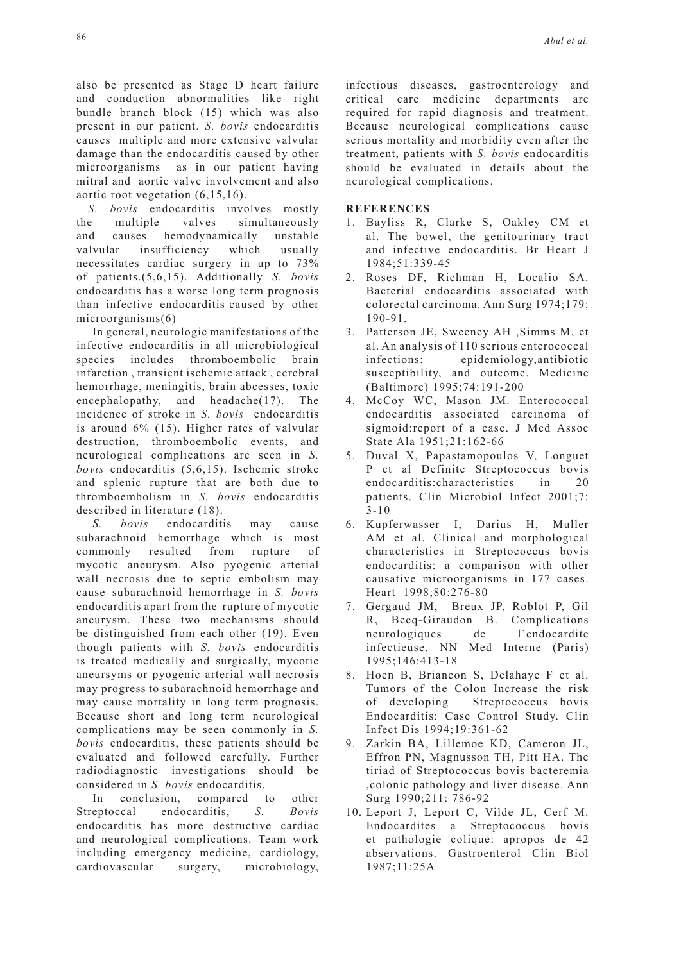also be presented as Stage D heart failure and conduction abnormalities like right bundle branch block (15) which was also present in our patient. *S. bovis* endocarditis causes multiple and more extensive valvular damage than the endocarditis caused by other microorganisms as in our patient having mitral and aortic valve involvement and also aortic root vegetation (6,15,16).

*S. bovis* endocarditis involves mostly the multiple valves simultaneously and causes hemodynamically unstable valvular insufficiency which usually necessitates cardiac surgery in up to 73% of patients.(5,6,15). Additionally *S. bovis* endocarditis has a worse long term prognosis than infective endocarditis caused by other microorganisms(6)

In general, neurologic manifestations of the infective endocarditis in all microbiological species includes thromboembolic brain infarction , transient ischemic attack , cerebral hemorrhage, meningitis, brain abcesses, toxic encephalopathy, and headache(17). The incidence of stroke in *S. bovis* endocarditis is around 6% (15). Higher rates of valvular destruction, thromboembolic events, and neurological complications are seen in *S. bovis* endocarditis (5,6,15). Ischemic stroke and splenic rupture that are both due to thromboembolism in *S. bovis* endocarditis described in literature (18).

*S. bovis* endocarditis may cause subarachnoid hemorrhage which is most commonly resulted from rupture of mycotic aneurysm. Also pyogenic arterial wall necrosis due to septic embolism may cause subarachnoid hemorrhage in *S. bovis* endocarditis apart from the rupture of mycotic aneurysm. These two mechanisms should be distinguished from each other (19). Even though patients with *S. bovis* endocarditis is treated medically and surgically, mycotic aneursyms or pyogenic arterial wall necrosis may progress to subarachnoid hemorrhage and may cause mortality in long term prognosis. Because short and long term neurological complications may be seen commonly in *S. bovis* endocarditis, these patients should be evaluated and followed carefully. Further radiodiagnostic investigations should be considered in *S. bovis* endocarditis.

In conclusion, compared to other Streptoccal endocarditis, *S. Bovis* endocarditis has more destructive cardiac and neurological complications. Team work including emergency medicine, cardiology, cardiovascular surgery, microbiology, infectious diseases, gastroenterology and critical care medicine departments are required for rapid diagnosis and treatment. Because neurological complications cause serious mortality and morbidity even after the treatment, patients with *S. bovis* endocarditis should be evaluated in details about the neurological complications.

## **REFERENCES**

- 1. Bayliss R, Clarke S, Oakley CM et al. The bowel, the genitourinary tract and infective endocarditis. Br Heart J 1984;51:339-45
- 2. Roses DF, Richman H, Localio SA. Bacterial endocarditis associated with colorectal carcinoma. Ann Surg 1974;179: 190-91.
- 3. Patterson JE, Sweeney AH ,Simms M, et al. An analysis of 110 serious enterococcal infections: epidemiology,antibiotic susceptibility, and outcome. Medicine (Baltimore) 1995;74:191-200
- 4. McCoy WC, Mason JM. Enterococcal endocarditis associated carcinoma of sigmoid:report of a case. J Med Assoc State Ala 1951;21:162-66
- 5. Duval X, Papastamopoulos V, Longuet P et al Definite Streptococcus bovis endocarditis:characteristics in 20 patients. Clin Microbiol Infect 2001;7: 3-10
- 6. Kupferwasser I, Darius H, Muller AM et al. Clinical and morphological characteristics in Streptococcus bovis endocarditis: a comparison with other causative microorganisms in 177 cases. Heart 1998;80:276-80
- 7. Gergaud JM, Breux JP, Roblot P, Gil R, Becq-Giraudon B. Complications neurologiques de l'endocardite infectieuse. NN Med Interne (Paris) 1995;146:413-18
- 8. Hoen B, Briancon S, Delahaye F et al. Tumors of the Colon Increase the risk of developing Streptococcus bovis Endocarditis: Case Control Study. Clin Infect Dis 1994;19:361-62
- 9. Zarkin BA, Lillemoe KD, Cameron JL, Effron PN, Magnusson TH, Pitt HA. The tiriad of Streptococcus bovis bacteremia ,colonic pathology and liver disease. Ann Surg 1990;211: 786-92
- 10. Leport J, Leport C, Vilde JL, Cerf M. Endocardites a Streptococcus bovis et pathologie colique: apropos de 42 abservations. Gastroenterol Clin Biol 1987;11:25A